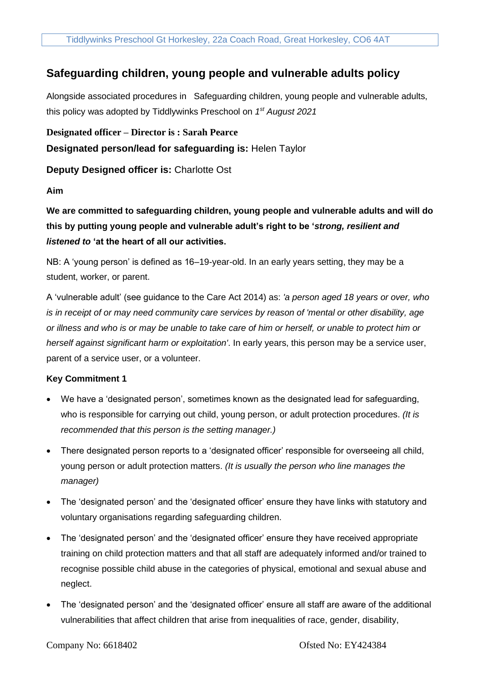# **Safeguarding children, young people and vulnerable adults policy**

Alongside associated procedures in Safeguarding children, young people and vulnerable adults, this policy was adopted by Tiddlywinks Preschool on *1 st August 2021*

**Designated officer – Director is : Sarah Pearce**

## **Designated person/lead for safeguarding is:** Helen Taylor

**Deputy Designed officer is:** Charlotte Ost

**Aim**

**We are committed to safeguarding children, young people and vulnerable adults and will do this by putting young people and vulnerable adult's right to be '***strong, resilient and listened to* **'at the heart of all our activities.** 

NB: A 'young person' is defined as 16–19-year-old. In an early years setting, they may be a student, worker, or parent.

A 'vulnerable adult' (see guidance to the Care Act 2014) as: *'a person aged 18 years or over, who is in receipt of or may need community care services by reason of 'mental or other disability, age or illness and who is or may be unable to take care of him or herself, or unable to protect him or herself against significant harm or exploitation'*. In early years, this person may be a service user, parent of a service user, or a volunteer.

## **Key Commitment 1**

- We have a 'designated person', sometimes known as the designated lead for safeguarding, who is responsible for carrying out child, young person, or adult protection procedures. *(It is recommended that this person is the setting manager.)*
- There designated person reports to a 'designated officer' responsible for overseeing all child, young person or adult protection matters. *(It is usually the person who line manages the manager)*
- The 'designated person' and the 'designated officer' ensure they have links with statutory and voluntary organisations regarding safeguarding children.
- The 'designated person' and the 'designated officer' ensure they have received appropriate training on child protection matters and that all staff are adequately informed and/or trained to recognise possible child abuse in the categories of physical, emotional and sexual abuse and neglect.
- The 'designated person' and the 'designated officer' ensure all staff are aware of the additional vulnerabilities that affect children that arise from inequalities of race, gender, disability,

Company No: 6618402 Ofsted No: EY424384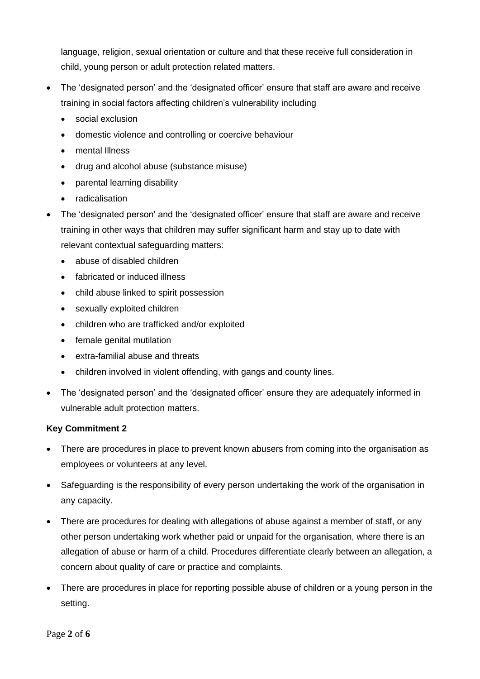language, religion, sexual orientation or culture and that these receive full consideration in child, young person or adult protection related matters.

- The 'designated person' and the 'designated officer' ensure that staff are aware and receive training in social factors affecting children's vulnerability including
	- social exclusion
	- domestic violence and controlling or coercive behaviour
	- mental Illness
	- drug and alcohol abuse (substance misuse)
	- parental learning disability
	- radicalisation
- The 'designated person' and the 'designated officer' ensure that staff are aware and receive training in other ways that children may suffer significant harm and stay up to date with relevant contextual safeguarding matters:
	- abuse of disabled children
	- fabricated or induced illness
	- child abuse linked to spirit possession
	- sexually exploited children
	- children who are trafficked and/or exploited
	- female genital mutilation
	- extra-familial abuse and threats
	- children involved in violent offending, with gangs and county lines.
- The 'designated person' and the 'designated officer' ensure they are adequately informed in vulnerable adult protection matters.

## **Key Commitment 2**

- There are procedures in place to prevent known abusers from coming into the organisation as employees or volunteers at any level.
- Safeguarding is the responsibility of every person undertaking the work of the organisation in any capacity.
- There are procedures for dealing with allegations of abuse against a member of staff, or any other person undertaking work whether paid or unpaid for the organisation, where there is an allegation of abuse or harm of a child. Procedures differentiate clearly between an allegation, a concern about quality of care or practice and complaints.
- There are procedures in place for reporting possible abuse of children or a young person in the setting.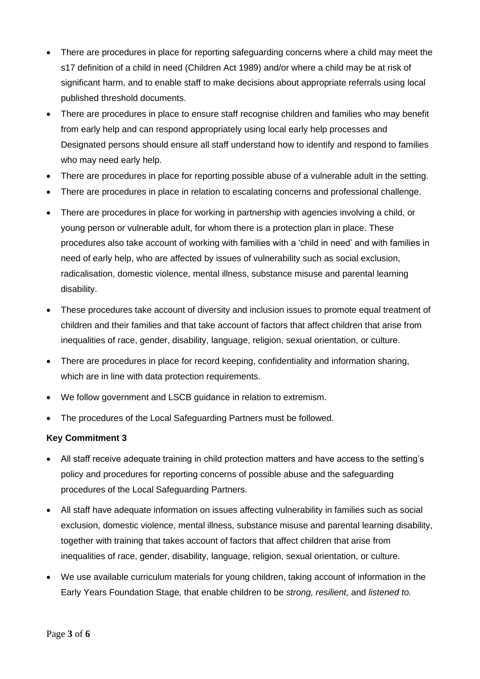- There are procedures in place for reporting safeguarding concerns where a child may meet the s17 definition of a child in need (Children Act 1989) and/or where a child may be at risk of significant harm, and to enable staff to make decisions about appropriate referrals using local published threshold documents.
- There are procedures in place to ensure staff recognise children and families who may benefit from early help and can respond appropriately using local early help processes and Designated persons should ensure all staff understand how to identify and respond to families who may need early help.
- There are procedures in place for reporting possible abuse of a vulnerable adult in the setting.
- There are procedures in place in relation to escalating concerns and professional challenge.
- There are procedures in place for working in partnership with agencies involving a child, or young person or vulnerable adult, for whom there is a protection plan in place. These procedures also take account of working with families with a 'child in need' and with families in need of early help, who are affected by issues of vulnerability such as social exclusion, radicalisation, domestic violence, mental illness, substance misuse and parental learning disability.
- These procedures take account of diversity and inclusion issues to promote equal treatment of children and their families and that take account of factors that affect children that arise from inequalities of race, gender, disability, language, religion, sexual orientation, or culture.
- There are procedures in place for record keeping, confidentiality and information sharing, which are in line with data protection requirements.
- We follow government and LSCB guidance in relation to extremism.
- The procedures of the Local Safeguarding Partners must be followed.

#### **Key Commitment 3**

- All staff receive adequate training in child protection matters and have access to the setting's policy and procedures for reporting concerns of possible abuse and the safeguarding procedures of the Local Safeguarding Partners.
- All staff have adequate information on issues affecting vulnerability in families such as social exclusion, domestic violence, mental illness, substance misuse and parental learning disability, together with training that takes account of factors that affect children that arise from inequalities of race, gender, disability, language, religion, sexual orientation, or culture.
- We use available curriculum materials for young children, taking account of information in the Early Years Foundation Stage, that enable children to be *strong, resilient,* and *listened to.*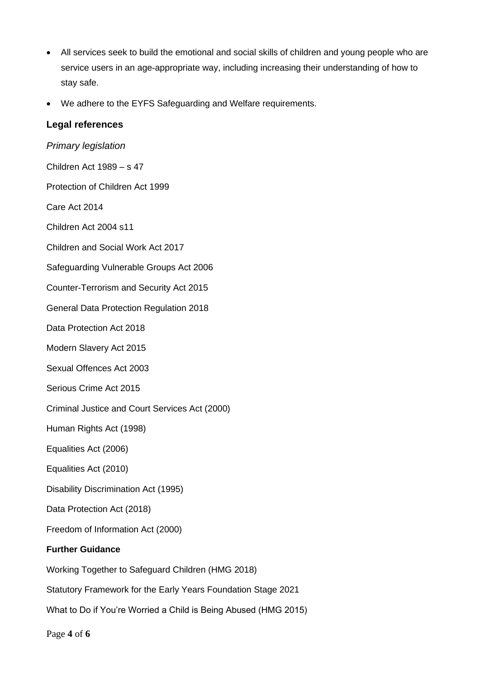- All services seek to build the emotional and social skills of children and young people who are service users in an age-appropriate way, including increasing their understanding of how to stay safe.
- We adhere to the EYFS Safeguarding and Welfare requirements.

## **Legal references**

### *Primary legislation*

Children Act 1989 – s 47 Protection of Children Act 1999 Care Act 2014 Children Act 2004 s11 Children and Social Work Act 2017 Safeguarding Vulnerable Groups Act 2006 Counter-Terrorism and Security Act 2015 General Data Protection Regulation 2018 Data Protection Act 2018 Modern Slavery Act 2015 Sexual Offences Act 2003 Serious Crime Act 2015 Criminal Justice and Court Services Act (2000) Human Rights Act (1998) Equalities Act (2006) Equalities Act (2010) Disability Discrimination Act (1995) Data Protection Act (2018) Freedom of Information Act (2000) **Further Guidance**  Working Together to Safeguard Children (HMG 2018) Statutory Framework for the Early Years Foundation Stage 2021

What to Do if You're Worried a Child is Being Abused (HMG 2015)

Page **4** of **6**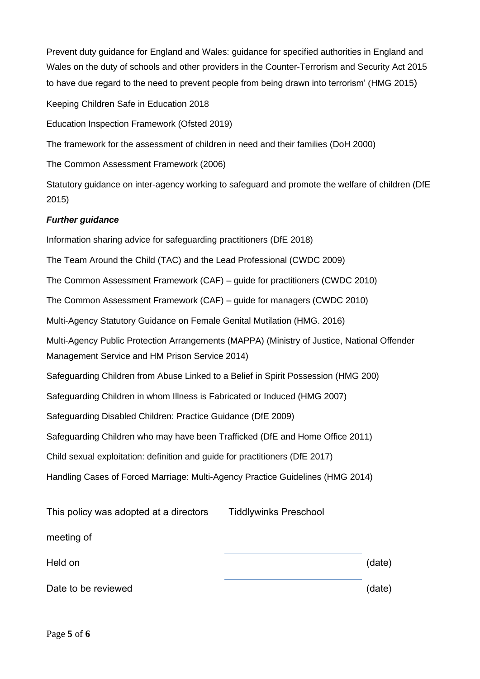Prevent duty guidance for England and Wales: guidance for specified authorities in England and Wales on the duty of schools and other providers in the Counter-Terrorism and Security Act 2015 to have due regard to the need to prevent people from being drawn into terrorism' (HMG 2015)

Keeping Children Safe in Education 2018

Education Inspection Framework (Ofsted 2019)

The framework for the assessment of children in need and their families (DoH 2000)

The Common Assessment Framework (2006)

Statutory guidance on inter-agency working to safeguard and promote the welfare of children (DfE 2015)

## *Further guidance*

Information sharing advice for safeguarding practitioners (DfE 2018) The Team Around the Child (TAC) and the Lead Professional (CWDC 2009) The Common Assessment Framework (CAF) – guide for practitioners (CWDC 2010) The Common Assessment Framework (CAF) – guide for managers (CWDC 2010) Multi-Agency Statutory Guidance on Female Genital Mutilation (HMG. 2016) Multi-Agency Public Protection Arrangements (MAPPA) (Ministry of Justice, National Offender Management Service and HM Prison Service 2014) Safeguarding Children from Abuse Linked to a Belief in Spirit Possession (HMG 200) Safeguarding Children in whom Illness is Fabricated or Induced (HMG 2007) Safeguarding Disabled Children: Practice Guidance (DfE 2009) Safeguarding Children who may have been Trafficked (DfE and Home Office 2011) Child sexual exploitation: definition and guide for practitioners (DfE 2017) Handling Cases of Forced Marriage: Multi-Agency Practice Guidelines (HMG 2014) This policy was adopted at a directors meeting of Tiddlywinks Preschool

Held on (date) Date to be reviewed  $($ ate  $)$